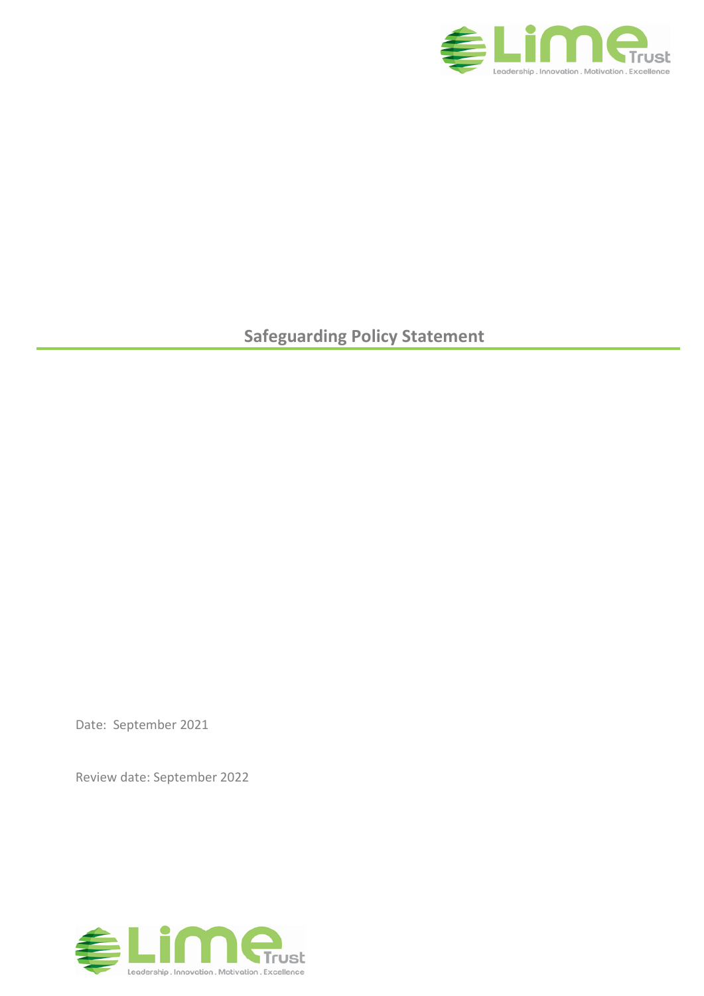

**Safeguarding Policy Statement**

Date: September 2021

Review date: September 2022

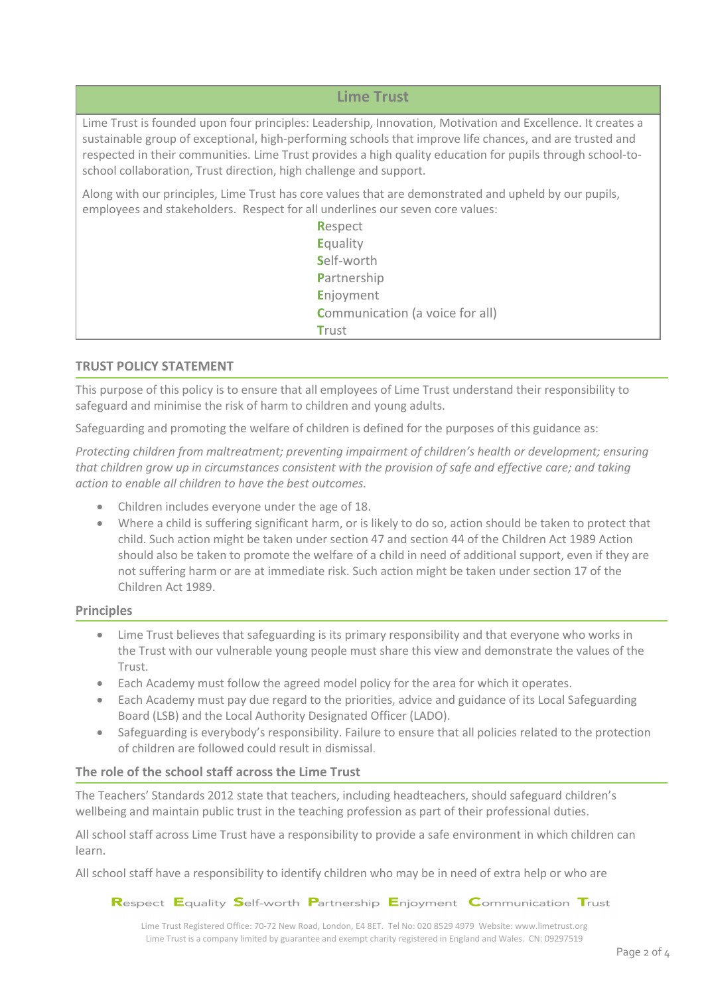**Lime Trust**

Lime Trust is founded upon four principles: Leadership, Innovation, Motivation and Excellence. It creates a sustainable group of exceptional, high-performing schools that improve life chances, and are trusted and respected in their communities. Lime Trust provides a high quality education for pupils through school-toschool collaboration, Trust direction, high challenge and support.

Along with our principles, Lime Trust has core values that are demonstrated and upheld by our pupils, employees and stakeholders. Respect for all underlines our seven core values:

| Respect                                |
|----------------------------------------|
| Equality                               |
| Self-worth                             |
| Partnership                            |
| Enjoyment                              |
| <b>Communication (a voice for all)</b> |
| <b>Trust</b>                           |

# **TRUST POLICY STATEMENT**

This purpose of this policy is to ensure that all employees of Lime Trust understand their responsibility to safeguard and minimise the risk of harm to children and young adults.

Safeguarding and promoting the welfare of children is defined for the purposes of this guidance as:

*Protecting children from maltreatment; preventing impairment of children's health or development; ensuring that children grow up in circumstances consistent with the provision of safe and effective care; and taking action to enable all children to have the best outcomes.*

- Children includes everyone under the age of 18.
- Where a child is suffering significant harm, or is likely to do so, action should be taken to protect that child. Such action might be taken under section 47 and section 44 of the Children Act 1989 Action should also be taken to promote the welfare of a child in need of additional support, even if they are not suffering harm or are at immediate risk. Such action might be taken under section 17 of the Children Act 1989.

#### **Principles**

- Lime Trust believes that safeguarding is its primary responsibility and that everyone who works in the Trust with our vulnerable young people must share this view and demonstrate the values of the Trust.
- Each Academy must follow the agreed model policy for the area for which it operates.
- Each Academy must pay due regard to the priorities, advice and guidance of its Local Safeguarding Board (LSB) and the Local Authority Designated Officer (LADO).
- Safeguarding is everybody's responsibility. Failure to ensure that all policies related to the protection of children are followed could result in dismissal.

# **The role of the school staff across the Lime Trust**

The Teachers' Standards 2012 state that teachers, including headteachers, should safeguard children's wellbeing and maintain public trust in the teaching profession as part of their professional duties.

All school staff across Lime Trust have a responsibility to provide a safe environment in which children can learn.

All school staff have a responsibility to identify children who may be in need of extra help or who are

Respect Equality Self-worth Partnership Enjoyment Communication Trust

Lime Trust Registered Office: 70-72 New Road, London, E4 8ET. Tel No: 020 8529 4979 Website: www.limetrust.org Lime Trust is a company limited by guarantee and exempt charity registered in England and Wales. CN: 09297519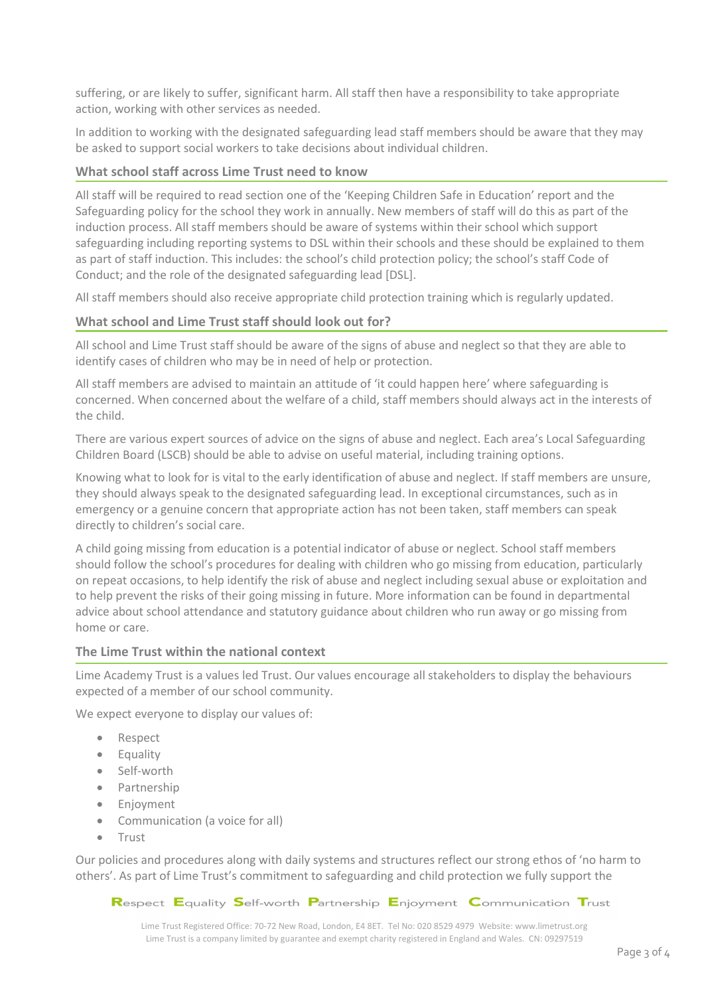suffering, or are likely to suffer, significant harm. All staff then have a responsibility to take appropriate action, working with other services as needed.

In addition to working with the designated safeguarding lead staff members should be aware that they may be asked to support social workers to take decisions about individual children.

### **What school staff across Lime Trust need to know**

All staff will be required to read section one of the 'Keeping Children Safe in Education' report and the Safeguarding policy for the school they work in annually. New members of staff will do this as part of the induction process. All staff members should be aware of systems within their school which support safeguarding including reporting systems to DSL within their schools and these should be explained to them as part of staff induction. This includes: the school's child protection policy; the school's staff Code of Conduct; and the role of the designated safeguarding lead [DSL].

All staff members should also receive appropriate child protection training which is regularly updated.

### **What school and Lime Trust staff should look out for?**

All school and Lime Trust staff should be aware of the signs of abuse and neglect so that they are able to identify cases of children who may be in need of help or protection.

All staff members are advised to maintain an attitude of 'it could happen here' where safeguarding is concerned. When concerned about the welfare of a child, staff members should always act in the interests of the child.

There are various expert sources of advice on the signs of abuse and neglect. Each area's Local Safeguarding Children Board (LSCB) should be able to advise on useful material, including training options.

Knowing what to look for is vital to the early identification of abuse and neglect. If staff members are unsure, they should always speak to the designated safeguarding lead. In exceptional circumstances, such as in emergency or a genuine concern that appropriate action has not been taken, staff members can speak directly to children's social care.

A child going missing from education is a potential indicator of abuse or neglect. School staff members should follow the school's procedures for dealing with children who go missing from education, particularly on repeat occasions, to help identify the risk of abuse and neglect including sexual abuse or exploitation and to help prevent the risks of their going missing in future. More information can be found in departmental advice about school attendance and statutory guidance about children who run away or go missing from home or care.

#### **The Lime Trust within the national context**

Lime Academy Trust is a values led Trust. Our values encourage all stakeholders to display the behaviours expected of a member of our school community.

We expect everyone to display our values of:

- Respect
- Equality
- Self-worth
- Partnership
- **•** Enjoyment
- Communication (a voice for all)
- Trust

Our policies and procedures along with daily systems and structures reflect our strong ethos of 'no harm to others'. As part of Lime Trust's commitment to safeguarding and child protection we fully support the

Respect Equality Self-worth Partnership Enjoyment Communication Trust

Lime Trust Registered Office: 70-72 New Road, London, E4 8ET. Tel No: 020 8529 4979 Website: www.limetrust.org Lime Trust is a company limited by guarantee and exempt charity registered in England and Wales. CN: 09297519